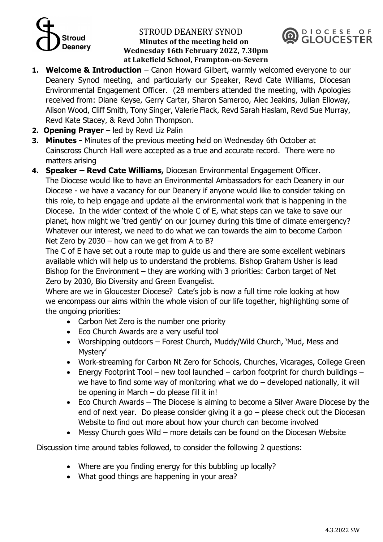# $\overline{\mathcal{L}}$ **Deanery**

#### STROUD DEANERY SYNOD **Minutes of the meeting held on Wednesday 16th February 2022, 7.30pm at Lakefield School, Frampton-on-Severn**



- **1. Welcome & Introduction** Canon Howard Gilbert, warmly welcomed everyone to our Deanery Synod meeting, and particularly our Speaker, Revd Cate Williams, Diocesan Environmental Engagement Officer. (28 members attended the meeting, with Apologies received from: Diane Keyse, Gerry Carter, Sharon Sameroo, Alec Jeakins, Julian Elloway, Alison Wood, Cliff Smith, Tony Singer, Valerie Flack, Revd Sarah Haslam, Revd Sue Murray, Revd Kate Stacey, & Revd John Thompson.
- **2. Opening Prayer** led by Revd Liz Palin
- **3. Minutes -** Minutes of the previous meeting held on Wednesday 6th October at Cainscross Church Hall were accepted as a true and accurate record. There were no matters arising
- **4. Speaker – Revd Cate Williams,** Diocesan Environmental Engagement Officer. The Diocese would like to have an Environmental Ambassadors for each Deanery in our Diocese - we have a vacancy for our Deanery if anyone would like to consider taking on this role, to help engage and update all the environmental work that is happening in the Diocese. In the wider context of the whole C of E, what steps can we take to save our planet, how might we 'tred gently' on our journey during this time of climate emergency? Whatever our interest, we need to do what we can towards the aim to become Carbon Net Zero by 2030 – how can we get from A to B?

The C of E have set out a route map to guide us and there are some excellent webinars available which will help us to understand the problems. Bishop Graham Usher is lead Bishop for the Environment – they are working with 3 priorities: Carbon target of Net Zero by 2030, Bio Diversity and Green Evangelist.

Where are we in Gloucester Diocese? Cate's job is now a full time role looking at how we encompass our aims within the whole vision of our life together, highlighting some of the ongoing priorities:

- Carbon Net Zero is the number one priority
- Eco Church Awards are a very useful tool
- Worshipping outdoors Forest Church, Muddy/Wild Church, 'Mud, Mess and Mystery'
- Work-streaming for Carbon Nt Zero for Schools, Churches, Vicarages, College Green
- Energy Footprint Tool new tool launched carbon footprint for church buildings we have to find some way of monitoring what we do  $-$  developed nationally, it will be opening in March – do please fill it in!
- Eco Church Awards The Diocese is aiming to become a Silver Aware Diocese by the end of next year. Do please consider giving it a go  $-$  please check out the Diocesan Website to find out more about how your church can become involved
- Messy Church goes Wild more details can be found on the Diocesan Website

Discussion time around tables followed, to consider the following 2 questions:

- Where are you finding energy for this bubbling up locally?
- What good things are happening in your area?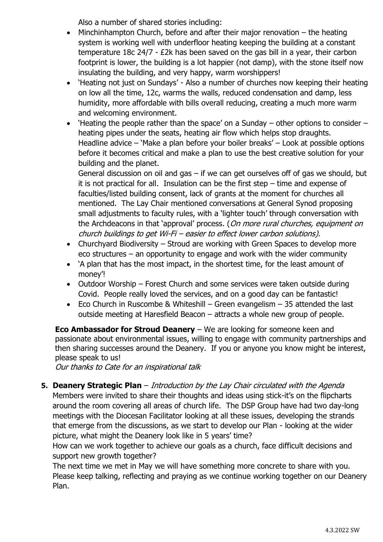Also a number of shared stories including:

- $\bullet$  Minchinhampton Church, before and after their major renovation  $-$  the heating system is working well with underfloor heating keeping the building at a constant temperature 18c 24/7 - £2k has been saved on the gas bill in a year, their carbon footprint is lower, the building is a lot happier (not damp), with the stone itself now insulating the building, and very happy, warm worshippers!
- 'Heating not just on Sundays' Also a number of churches now keeping their heating on low all the time, 12c, warms the walls, reduced condensation and damp, less humidity, more affordable with bills overall reducing, creating a much more warm and welcoming environment.
- 'Heating the people rather than the space' on a Sunday other options to consider heating pipes under the seats, heating air flow which helps stop draughts. Headline advice – 'Make a plan before your boiler breaks' – Look at possible options before it becomes critical and make a plan to use the best creative solution for your building and the planet.

General discussion on oil and gas – if we can get ourselves off of gas we should, but it is not practical for all. Insulation can be the first step – time and expense of faculties/listed building consent, lack of grants at the moment for churches all mentioned. The Lay Chair mentioned conversations at General Synod proposing small adjustments to faculty rules, with a 'lighter touch' through conversation with the Archdeacons in that 'approval' process. (On more rural churches, equipment on church buildings to get Wi-Fi – easier to effect lower carbon solutions).

- Churchyard Biodiversity Stroud are working with Green Spaces to develop more eco structures – an opportunity to engage and work with the wider community
- 'A plan that has the most impact, in the shortest time, for the least amount of money'!
- Outdoor Worship Forest Church and some services were taken outside during Covid. People really loved the services, and on a good day can be fantastic!
- Eco Church in Ruscombe & Whiteshill Green evangelism 35 attended the last outside meeting at Haresfield Beacon – attracts a whole new group of people.

**Eco Ambassador for Stroud Deanery** – We are looking for someone keen and passionate about environmental issues, willing to engage with community partnerships and then sharing successes around the Deanery. If you or anyone you know might be interest, please speak to us!

Our thanks to Cate for an inspirational talk

**5. Deanery Strategic Plan** – Introduction by the Lay Chair circulated with the Agenda Members were invited to share their thoughts and ideas using stick-it's on the flipcharts around the room covering all areas of church life. The DSP Group have had two day-long meetings with the Diocesan Facilitator looking at all these issues, developing the strands that emerge from the discussions, as we start to develop our Plan - looking at the wider picture, what might the Deanery look like in 5 years' time?

How can we work together to achieve our goals as a church, face difficult decisions and support new growth together?

The next time we met in May we will have something more concrete to share with you. Please keep talking, reflecting and praying as we continue working together on our Deanery Plan.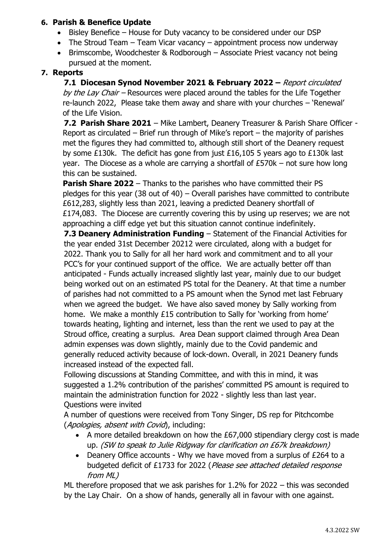## **6. Parish & Benefice Update**

- Bisley Benefice House for Duty vacancy to be considered under our DSP
- The Stroud Team Team Vicar vacancy appointment process now underway
- Brimscombe, Woodchester & Rodborough Associate Priest vacancy not being pursued at the moment.

## **7. Reports**

**7.1 Diocesan Synod November 2021 & February 2022 –** Report circulated by the Lay Chair – Resources were placed around the tables for the Life Together re-launch 2022, Please take them away and share with your churches – 'Renewal' of the Life Vision.

**7.2 Parish Share 2021** – Mike Lambert, Deanery Treasurer & Parish Share Officer - Report as circulated – Brief run through of Mike's report – the majority of parishes met the figures they had committed to, although still short of the Deanery request by some £130k. The deficit has gone from just £16,105 5 years ago to £130k last year. The Diocese as a whole are carrying a shortfall of £570k – not sure how long this can be sustained.

**Parish Share 2022** – Thanks to the parishes who have committed their PS pledges for this year (38 out of 40) – Overall parishes have committed to contribute £612,283, slightly less than 2021, leaving a predicted Deanery shortfall of £174,083. The Diocese are currently covering this by using up reserves; we are not approaching a cliff edge yet but this situation cannot continue indefinitely.

**7.3 Deanery Administration Funding** – Statement of the Financial Activities for the year ended 31st December 20212 were circulated, along with a budget for 2022. Thank you to Sally for all her hard work and commitment and to all your PCC's for your continued support of the office. We are actually better off than anticipated - Funds actually increased slightly last year, mainly due to our budget being worked out on an estimated PS total for the Deanery. At that time a number of parishes had not committed to a PS amount when the Synod met last February when we agreed the budget. We have also saved money by Sally working from home. We make a monthly £15 contribution to Sally for 'working from home' towards heating, lighting and internet, less than the rent we used to pay at the Stroud office, creating a surplus. Area Dean support claimed through Area Dean admin expenses was down slightly, mainly due to the Covid pandemic and generally reduced activity because of lock-down. Overall, in 2021 Deanery funds increased instead of the expected fall.

Following discussions at Standing Committee, and with this in mind, it was suggested a 1.2% contribution of the parishes' committed PS amount is required to maintain the administration function for 2022 - slightly less than last year. Questions were invited

A number of questions were received from Tony Singer, DS rep for Pitchcombe (Apologies, absent with Covid), including:

- A more detailed breakdown on how the £67,000 stipendiary clergy cost is made up. (SW to speak to Julie Ridgway for clarification on £67k breakdown)
- Deanery Office accounts Why we have moved from a surplus of £264 to a budgeted deficit of £1733 for 2022 (Please see attached detailed response from ML)

ML therefore proposed that we ask parishes for 1.2% for 2022 – this was seconded by the Lay Chair. On a show of hands, generally all in favour with one against.